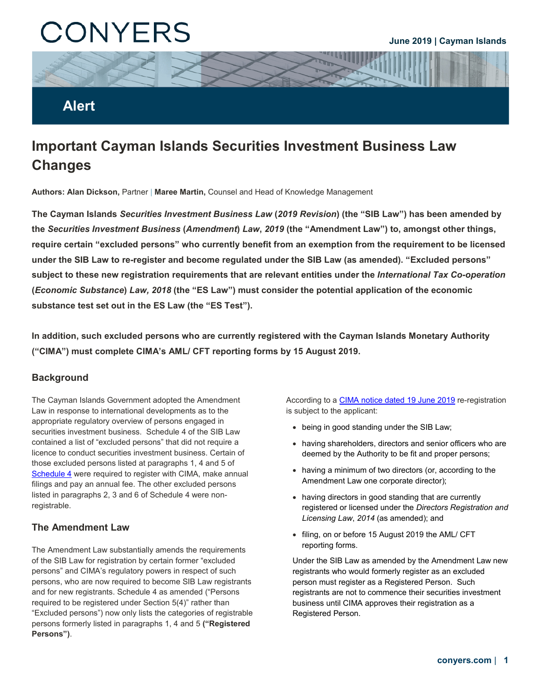# CONYERS

#### **June 2019 | Cayman Islands**

### **Alert**

## **Important Cayman Islands Securities Investment Business Law Changes**

**Authors: Alan Dickson,** Partner | **Maree Martin,** Counsel and Head of Knowledge Management

**The Cayman Islands** *Securities Investment Business Law* **(***2019 Revision***) (the "SIB Law") has been amended by the** *Securities Investment Business* **(***Amendment***)** *Law***,** *2019* **(the "Amendment Law") to, amongst other things, require certain "excluded persons" who currently benefit from an exemption from the requirement to be licensed under the SIB Law to re-register and become regulated under the SIB Law (as amended). "Excluded persons" subject to these new registration requirements that are relevant entities under the** *International Tax Co-operation*  **(***Economic Substance***)** *Law, 2018* **(the "ES Law") must consider the potential application of the economic substance test set out in the ES Law (the "ES Test").**

**In addition, such excluded persons who are currently registered with the Cayman Islands Monetary Authority ("CIMA") must complete CIMA's AML/ CFT reporting forms by 15 August 2019.**

#### **Background**

The Cayman Islands Government adopted the Amendment Law in response to international developments as to the appropriate regulatory overview of persons engaged in securities investment business. Schedule 4 of the SIB Law contained a list of "excluded persons" that did not require a licence to conduct securities investment business. Certain of those excluded persons listed at paragraphs 1, 4 and 5 of [Schedule 4](https://conyers-cdn.scdn5.secure.raxcdn.com/wp-content/uploads/2019/06/Paragraphs-1-4-and-5-of-the-Securities-Investment-Business-Law-2019-Revision.pdf) were required to register with CIMA, make annual filings and pay an annual fee. The other excluded persons listed in paragraphs 2, 3 and 6 of Schedule 4 were nonregistrable.

#### **The Amendment Law**

The Amendment Law substantially amends the requirements of the SIB Law for registration by certain former "excluded persons" and CIMA's regulatory powers in respect of such persons, who are now required to become SIB Law registrants and for new registrants. Schedule 4 as amended ("Persons required to be registered under Section 5(4)" rather than "Excluded persons") now only lists the categories of registrable persons formerly listed in paragraphs 1, 4 and 5 **("Registered Persons")**.

According to a [CIMA notice dated 19 June 2019](https://protect-eu.mimecast.com/s/CyKQC4RqnfJrQEocX3GkB?domain=cilpa.us16.list-manage.com) re-registration is subject to the applicant:

- being in good standing under the SIB Law;
- having shareholders, directors and senior officers who are deemed by the Authority to be fit and proper persons;
- having a minimum of two directors (or, according to the Amendment Law one corporate director);
- having directors in good standing that are currently registered or licensed under the *Directors Registration and Licensing Law*, *2014* (as amended); and
- filing, on or before 15 August 2019 the AML/ CFT reporting forms.

Under the SIB Law as amended by the Amendment Law new registrants who would formerly register as an excluded person must register as a Registered Person. Such registrants are not to commence their securities investment business until CIMA approves their registration as a Registered Person.